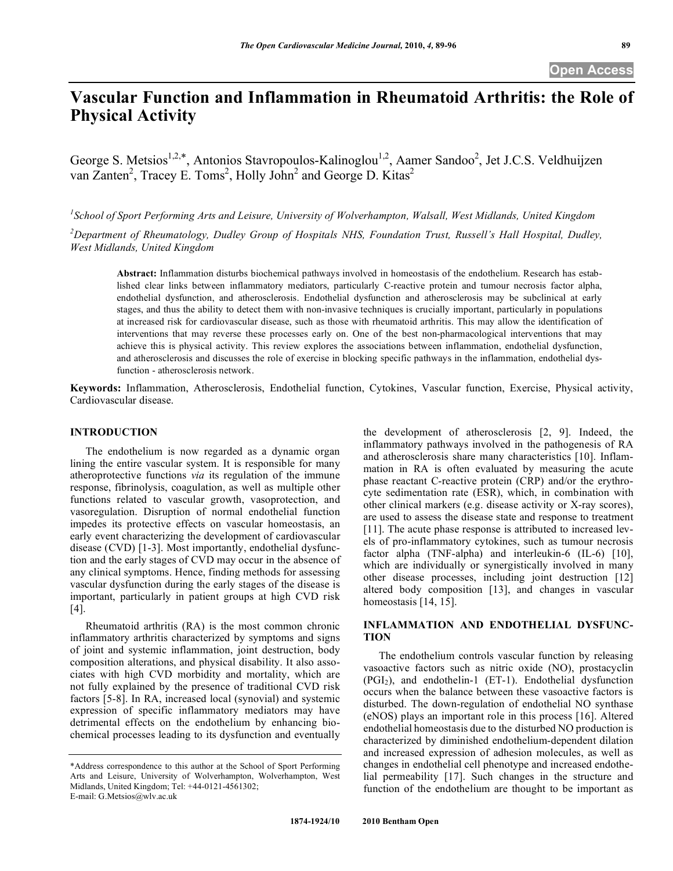# **Vascular Function and Inflammation in Rheumatoid Arthritis: the Role of Physical Activity**

George S. Metsios<sup>1,2,\*</sup>, Antonios Stavropoulos-Kalinoglou<sup>1,2</sup>, Aamer Sandoo<sup>2</sup>, Jet J.C.S. Veldhuijzen van Zanten<sup>2</sup>, Tracey E. Toms<sup>2</sup>, Holly John<sup>2</sup> and George D. Kitas<sup>2</sup>

*1 School of Sport Performing Arts and Leisure, University of Wolverhampton, Walsall, West Midlands, United Kingdom*

*2 Department of Rheumatology, Dudley Group of Hospitals NHS, Foundation Trust, Russell's Hall Hospital, Dudley, West Midlands, United Kingdom*

**Abstract:** Inflammation disturbs biochemical pathways involved in homeostasis of the endothelium. Research has established clear links between inflammatory mediators, particularly C-reactive protein and tumour necrosis factor alpha, endothelial dysfunction, and atherosclerosis. Endothelial dysfunction and atherosclerosis may be subclinical at early stages, and thus the ability to detect them with non-invasive techniques is crucially important, particularly in populations at increased risk for cardiovascular disease, such as those with rheumatoid arthritis. This may allow the identification of interventions that may reverse these processes early on. One of the best non-pharmacological interventions that may achieve this is physical activity. This review explores the associations between inflammation, endothelial dysfunction, and atherosclerosis and discusses the role of exercise in blocking specific pathways in the inflammation, endothelial dysfunction - atherosclerosis network.

**Keywords:** Inflammation, Atherosclerosis, Endothelial function, Cytokines, Vascular function, Exercise, Physical activity, Cardiovascular disease.

#### **INTRODUCTION**

The endothelium is now regarded as a dynamic organ lining the entire vascular system. It is responsible for many atheroprotective functions *via* its regulation of the immune response, fibrinolysis, coagulation, as well as multiple other functions related to vascular growth, vasoprotection, and vasoregulation. Disruption of normal endothelial function impedes its protective effects on vascular homeostasis, an early event characterizing the development of cardiovascular disease (CVD) [1-3]. Most importantly, endothelial dysfunction and the early stages of CVD may occur in the absence of any clinical symptoms. Hence, finding methods for assessing vascular dysfunction during the early stages of the disease is important, particularly in patient groups at high CVD risk [4].

Rheumatoid arthritis (RA) is the most common chronic inflammatory arthritis characterized by symptoms and signs of joint and systemic inflammation, joint destruction, body composition alterations, and physical disability. It also associates with high CVD morbidity and mortality, which are not fully explained by the presence of traditional CVD risk factors [5-8]. In RA, increased local (synovial) and systemic expression of specific inflammatory mediators may have detrimental effects on the endothelium by enhancing biochemical processes leading to its dysfunction and eventually the development of atherosclerosis [2, 9]. Indeed, the inflammatory pathways involved in the pathogenesis of RA and atherosclerosis share many characteristics [10]. Inflammation in RA is often evaluated by measuring the acute phase reactant C-reactive protein (CRP) and/or the erythrocyte sedimentation rate (ESR), which, in combination with other clinical markers (e.g. disease activity or X-ray scores), are used to assess the disease state and response to treatment [11]. The acute phase response is attributed to increased levels of pro-inflammatory cytokines, such as tumour necrosis factor alpha (TNF-alpha) and interleukin-6 (IL-6) [10], which are individually or synergistically involved in many other disease processes, including joint destruction [12] altered body composition [13], and changes in vascular homeostasis [14, 15].

# **INFLAMMATION AND ENDOTHELIAL DYSFUNC-TION**

The endothelium controls vascular function by releasing vasoactive factors such as nitric oxide (NO), prostacyclin  $(PGI<sub>2</sub>)$ , and endothelin-1  $(ET-1)$ . Endothelial dysfunction occurs when the balance between these vasoactive factors is disturbed. The down-regulation of endothelial NO synthase (eNOS) plays an important role in this process [16]. Altered endothelial homeostasis due to the disturbed NO production is characterized by diminished endothelium-dependent dilation and increased expression of adhesion molecules, as well as changes in endothelial cell phenotype and increased endothelial permeability [17]. Such changes in the structure and function of the endothelium are thought to be important as

<sup>\*</sup>Address correspondence to this author at the School of Sport Performing Arts and Leisure, University of Wolverhampton, Wolverhampton, West Midlands, United Kingdom; Tel: +44-0121-4561302; E-mail: G.Metsios@wlv.ac.uk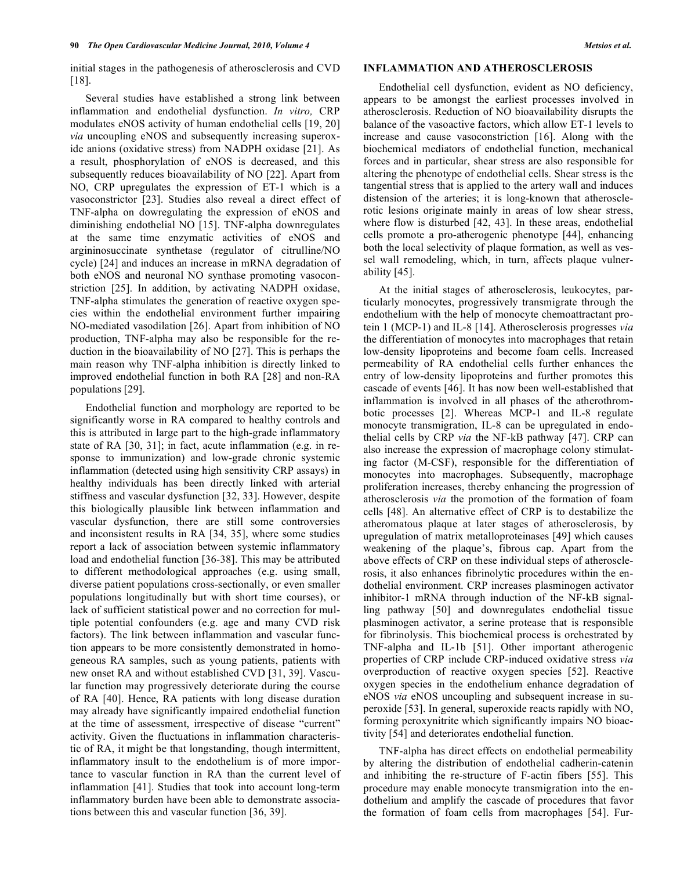initial stages in the pathogenesis of atherosclerosis and CVD [18].

Several studies have established a strong link between inflammation and endothelial dysfunction. *In vitro,* CRP modulates eNOS activity of human endothelial cells [19, 20] *via* uncoupling eNOS and subsequently increasing superoxide anions (oxidative stress) from NADPH oxidase [21]. As a result, phosphorylation of eNOS is decreased, and this subsequently reduces bioavailability of NO [22]. Apart from NO, CRP upregulates the expression of ET-1 which is a vasoconstrictor [23]. Studies also reveal a direct effect of TNF-alpha on dowregulating the expression of eNOS and diminishing endothelial NO [15]. TNF-alpha downregulates at the same time enzymatic activities of eNOS and argininosuccinate synthetase (regulator of citrulline/NO cycle) [24] and induces an increase in mRNA degradation of both eNOS and neuronal NO synthase promoting vasoconstriction [25]. In addition, by activating NADPH oxidase, TNF-alpha stimulates the generation of reactive oxygen species within the endothelial environment further impairing NO-mediated vasodilation [26]. Apart from inhibition of NO production, TNF-alpha may also be responsible for the reduction in the bioavailability of NO [27]. This is perhaps the main reason why TNF-alpha inhibition is directly linked to improved endothelial function in both RA [28] and non-RA populations [29].

Endothelial function and morphology are reported to be significantly worse in RA compared to healthy controls and this is attributed in large part to the high-grade inflammatory state of RA [30, 31]; in fact, acute inflammation (e.g. in response to immunization) and low-grade chronic systemic inflammation (detected using high sensitivity CRP assays) in healthy individuals has been directly linked with arterial stiffness and vascular dysfunction [32, 33]. However, despite this biologically plausible link between inflammation and vascular dysfunction, there are still some controversies and inconsistent results in RA [34, 35], where some studies report a lack of association between systemic inflammatory load and endothelial function [36-38]. This may be attributed to different methodological approaches (e.g. using small, diverse patient populations cross-sectionally, or even smaller populations longitudinally but with short time courses), or lack of sufficient statistical power and no correction for multiple potential confounders (e.g. age and many CVD risk factors). The link between inflammation and vascular function appears to be more consistently demonstrated in homogeneous RA samples, such as young patients, patients with new onset RA and without established CVD [31, 39]. Vascular function may progressively deteriorate during the course of RA [40]. Hence, RA patients with long disease duration may already have significantly impaired endothelial function at the time of assessment, irrespective of disease "current" activity. Given the fluctuations in inflammation characteristic of RA, it might be that longstanding, though intermittent, inflammatory insult to the endothelium is of more importance to vascular function in RA than the current level of inflammation [41]. Studies that took into account long-term inflammatory burden have been able to demonstrate associations between this and vascular function [36, 39].

#### **INFLAMMATION AND ATHEROSCLEROSIS**

Endothelial cell dysfunction, evident as NO deficiency, appears to be amongst the earliest processes involved in atherosclerosis. Reduction of NO bioavailability disrupts the balance of the vasoactive factors, which allow ET-1 levels to increase and cause vasoconstriction [16]. Along with the biochemical mediators of endothelial function, mechanical forces and in particular, shear stress are also responsible for altering the phenotype of endothelial cells. Shear stress is the tangential stress that is applied to the artery wall and induces distension of the arteries; it is long-known that atherosclerotic lesions originate mainly in areas of low shear stress, where flow is disturbed [42, 43]. In these areas, endothelial cells promote a pro-atherogenic phenotype [44], enhancing both the local selectivity of plaque formation, as well as vessel wall remodeling, which, in turn, affects plaque vulnerability [45].

At the initial stages of atherosclerosis, leukocytes, particularly monocytes, progressively transmigrate through the endothelium with the help of monocyte chemoattractant protein 1 (MCP-1) and IL-8 [14]. Atherosclerosis progresses *via*  the differentiation of monocytes into macrophages that retain low-density lipoproteins and become foam cells. Increased permeability of RA endothelial cells further enhances the entry of low-density lipoproteins and further promotes this cascade of events [46]. It has now been well-established that inflammation is involved in all phases of the atherothrombotic processes [2]. Whereas MCP-1 and IL-8 regulate monocyte transmigration, IL-8 can be upregulated in endothelial cells by CRP *via* the NF-kB pathway [47]. CRP can also increase the expression of macrophage colony stimulating factor (M-CSF), responsible for the differentiation of monocytes into macrophages. Subsequently, macrophage proliferation increases, thereby enhancing the progression of atherosclerosis *via* the promotion of the formation of foam cells [48]. An alternative effect of CRP is to destabilize the atheromatous plaque at later stages of atherosclerosis, by upregulation of matrix metalloproteinases [49] which causes weakening of the plaque's, fibrous cap. Apart from the above effects of CRP on these individual steps of atherosclerosis, it also enhances fibrinolytic procedures within the endothelial environment. CRP increases plasminogen activator inhibitor-1 mRNA through induction of the NF-kB signalling pathway [50] and downregulates endothelial tissue plasminogen activator, a serine protease that is responsible for fibrinolysis. This biochemical process is orchestrated by TNF-alpha and IL-1b [51]. Other important atherogenic properties of CRP include CRP-induced oxidative stress *via*  overproduction of reactive oxygen species [52]. Reactive oxygen species in the endothelium enhance degradation of eNOS *via* eNOS uncoupling and subsequent increase in superoxide [53]. In general, superoxide reacts rapidly with NO, forming peroxynitrite which significantly impairs NO bioactivity [54] and deteriorates endothelial function.

TNF-alpha has direct effects on endothelial permeability by altering the distribution of endothelial cadherin-catenin and inhibiting the re-structure of F-actin fibers [55]. This procedure may enable monocyte transmigration into the endothelium and amplify the cascade of procedures that favor the formation of foam cells from macrophages [54]. Fur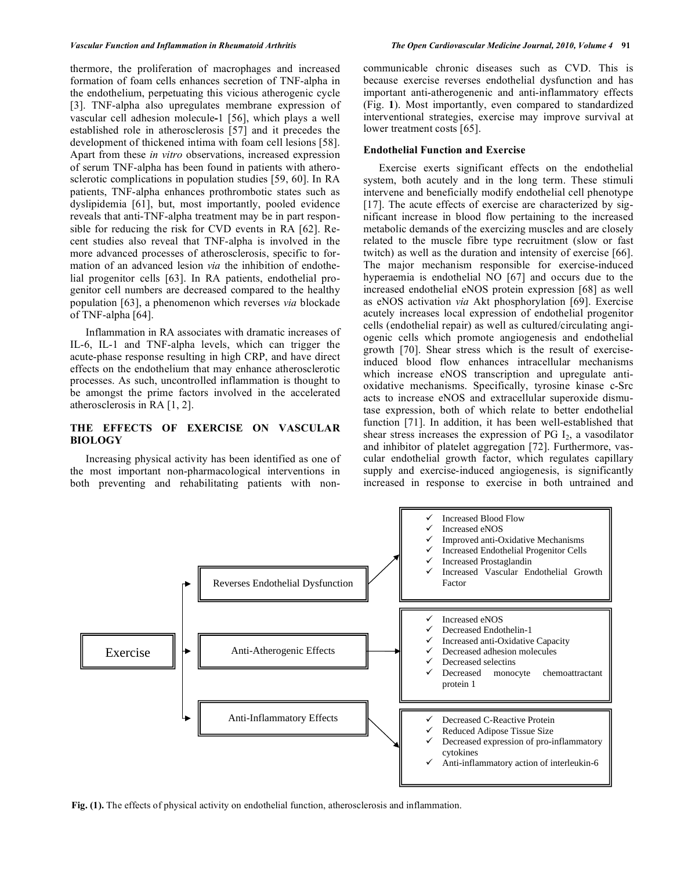thermore, the proliferation of macrophages and increased formation of foam cells enhances secretion of TNF-alpha in the endothelium, perpetuating this vicious atherogenic cycle [3]. TNF-alpha also upregulates membrane expression of vascular cell adhesion molecule**-**1 [56], which plays a well established role in atherosclerosis [57] and it precedes the development of thickened intima with foam cell lesions [58]. Apart from these *in vitro* observations, increased expression of serum TNF-alpha has been found in patients with atherosclerotic complications in population studies [59, 60]. In RA patients, TNF-alpha enhances prothrombotic states such as dyslipidemia [61], but, most importantly, pooled evidence reveals that anti-TNF-alpha treatment may be in part responsible for reducing the risk for CVD events in RA [62]. Recent studies also reveal that TNF-alpha is involved in the more advanced processes of atherosclerosis, specific to formation of an advanced lesion *via* the inhibition of endothelial progenitor cells [63]. In RA patients, endothelial progenitor cell numbers are decreased compared to the healthy population [63], a phenomenon which reverses *via* blockade of TNF-alpha [64].

Inflammation in RA associates with dramatic increases of IL-6, IL-1 and TNF-alpha levels, which can trigger the acute-phase response resulting in high CRP, and have direct effects on the endothelium that may enhance atherosclerotic processes. As such, uncontrolled inflammation is thought to be amongst the prime factors involved in the accelerated atherosclerosis in RA [1, 2].

## **THE EFFECTS OF EXERCISE ON VASCULAR BIOLOGY**

Increasing physical activity has been identified as one of the most important non-pharmacological interventions in both preventing and rehabilitating patients with noncommunicable chronic diseases such as CVD. This is because exercise reverses endothelial dysfunction and has important anti-atherogenenic and anti-inflammatory effects (Fig. **1**). Most importantly, even compared to standardized interventional strategies, exercise may improve survival at lower treatment costs [65].

#### **Endothelial Function and Exercise**

Exercise exerts significant effects on the endothelial system, both acutely and in the long term. These stimuli intervene and beneficially modify endothelial cell phenotype [17]. The acute effects of exercise are characterized by significant increase in blood flow pertaining to the increased metabolic demands of the exercizing muscles and are closely related to the muscle fibre type recruitment (slow or fast twitch) as well as the duration and intensity of exercise [66]. The major mechanism responsible for exercise-induced hyperaemia is endothelial NO [67] and occurs due to the increased endothelial eNOS protein expression [68] as well as eNOS activation *via* Akt phosphorylation [69]. Exercise acutely increases local expression of endothelial progenitor cells (endothelial repair) as well as cultured/circulating angiogenic cells which promote angiogenesis and endothelial growth [70]. Shear stress which is the result of exerciseinduced blood flow enhances intracellular mechanisms which increase eNOS transcription and upregulate antioxidative mechanisms. Specifically, tyrosine kinase c-Src acts to increase eNOS and extracellular superoxide dismutase expression, both of which relate to better endothelial function [71]. In addition, it has been well-established that shear stress increases the expression of PG  $I_2$ , a vasodilator and inhibitor of platelet aggregation [72]. Furthermore, vascular endothelial growth factor, which regulates capillary supply and exercise-induced angiogenesis, is significantly increased in response to exercise in both untrained and



**Fig. (1).** The effects of physical activity on endothelial function, atherosclerosis and inflammation.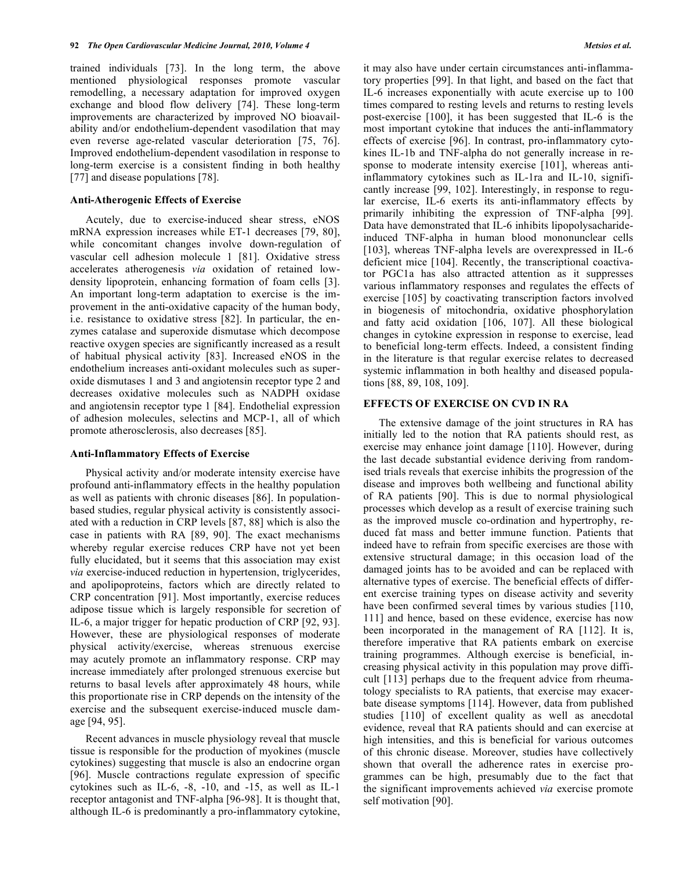trained individuals [73]. In the long term, the above mentioned physiological responses promote vascular remodelling, a necessary adaptation for improved oxygen exchange and blood flow delivery [74]. These long-term improvements are characterized by improved NO bioavailability and/or endothelium-dependent vasodilation that may even reverse age-related vascular deterioration [75, 76]. Improved endothelium-dependent vasodilation in response to long-term exercise is a consistent finding in both healthy [77] and disease populations [78].

#### **Anti-Atherogenic Effects of Exercise**

Acutely, due to exercise-induced shear stress, eNOS mRNA expression increases while ET-1 decreases [79, 80], while concomitant changes involve down-regulation of vascular cell adhesion molecule 1 [81]. Oxidative stress accelerates atherogenesis *via* oxidation of retained lowdensity lipoprotein, enhancing formation of foam cells [3]. An important long-term adaptation to exercise is the improvement in the anti-oxidative capacity of the human body, i.e. resistance to oxidative stress [82]. In particular, the enzymes catalase and superoxide dismutase which decompose reactive oxygen species are significantly increased as a result of habitual physical activity [83]. Increased eNOS in the endothelium increases anti-oxidant molecules such as superoxide dismutases 1 and 3 and angiotensin receptor type 2 and decreases oxidative molecules such as NADPH oxidase and angiotensin receptor type 1 [84]. Endothelial expression of adhesion molecules, selectins and MCP-1, all of which promote atherosclerosis, also decreases [85].

#### **Anti-Inflammatory Effects of Exercise**

Physical activity and/or moderate intensity exercise have profound anti-inflammatory effects in the healthy population as well as patients with chronic diseases [86]. In populationbased studies, regular physical activity is consistently associated with a reduction in CRP levels [87, 88] which is also the case in patients with RA [89, 90]. The exact mechanisms whereby regular exercise reduces CRP have not yet been fully elucidated, but it seems that this association may exist *via* exercise-induced reduction in hypertension, triglycerides, and apolipoproteins, factors which are directly related to CRP concentration [91]. Most importantly, exercise reduces adipose tissue which is largely responsible for secretion of IL-6, a major trigger for hepatic production of CRP [92, 93]. However, these are physiological responses of moderate physical activity/exercise, whereas strenuous exercise may acutely promote an inflammatory response. CRP may increase immediately after prolonged strenuous exercise but returns to basal levels after approximately 48 hours, while this proportionate rise in CRP depends on the intensity of the exercise and the subsequent exercise-induced muscle damage [94, 95].

Recent advances in muscle physiology reveal that muscle tissue is responsible for the production of myokines (muscle cytokines) suggesting that muscle is also an endocrine organ [96]. Muscle contractions regulate expression of specific cytokines such as IL-6, -8, -10, and -15, as well as IL-1 receptor antagonist and TNF-alpha [96-98]. It is thought that, although IL-6 is predominantly a pro-inflammatory cytokine, it may also have under certain circumstances anti-inflammatory properties [99]. In that light, and based on the fact that IL-6 increases exponentially with acute exercise up to 100 times compared to resting levels and returns to resting levels post-exercise [100], it has been suggested that IL-6 is the most important cytokine that induces the anti-inflammatory effects of exercise [96]. In contrast, pro-inflammatory cytokines IL-1b and TNF-alpha do not generally increase in response to moderate intensity exercise [101], whereas antiinflammatory cytokines such as IL-1ra and IL-10, significantly increase [99, 102]. Interestingly, in response to regular exercise, IL-6 exerts its anti-inflammatory effects by primarily inhibiting the expression of TNF-alpha [99]. Data have demonstrated that IL-6 inhibits lipopolysacharideinduced TNF-alpha in human blood mononunclear cells [103], whereas TNF-alpha levels are overexpressed in IL-6 deficient mice [104]. Recently, the transcriptional coactivator PGC1a has also attracted attention as it suppresses various inflammatory responses and regulates the effects of exercise [105] by coactivating transcription factors involved in biogenesis of mitochondria, oxidative phosphorylation and fatty acid oxidation [106, 107]. All these biological changes in cytokine expression in response to exercise, lead to beneficial long-term effects. Indeed, a consistent finding in the literature is that regular exercise relates to decreased systemic inflammation in both healthy and diseased populations [88, 89, 108, 109].

### **EFFECTS OF EXERCISE ON CVD IN RA**

The extensive damage of the joint structures in RA has initially led to the notion that RA patients should rest, as exercise may enhance joint damage [110]. However, during the last decade substantial evidence deriving from randomised trials reveals that exercise inhibits the progression of the disease and improves both wellbeing and functional ability of RA patients [90]. This is due to normal physiological processes which develop as a result of exercise training such as the improved muscle co-ordination and hypertrophy, reduced fat mass and better immune function. Patients that indeed have to refrain from specific exercises are those with extensive structural damage; in this occasion load of the damaged joints has to be avoided and can be replaced with alternative types of exercise. The beneficial effects of different exercise training types on disease activity and severity have been confirmed several times by various studies [110, 111] and hence, based on these evidence, exercise has now been incorporated in the management of RA [112]. It is, therefore imperative that RA patients embark on exercise training programmes. Although exercise is beneficial, increasing physical activity in this population may prove difficult [113] perhaps due to the frequent advice from rheumatology specialists to RA patients, that exercise may exacerbate disease symptoms [114]. However, data from published studies [110] of excellent quality as well as anecdotal evidence, reveal that RA patients should and can exercise at high intensities, and this is beneficial for various outcomes of this chronic disease. Moreover, studies have collectively shown that overall the adherence rates in exercise programmes can be high, presumably due to the fact that the significant improvements achieved *via* exercise promote self motivation [90].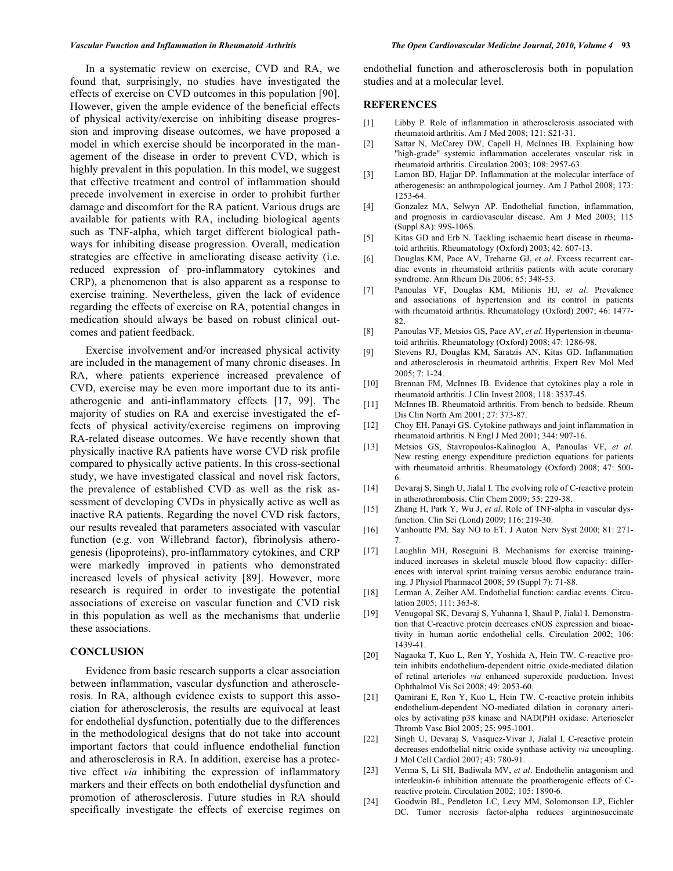In a systematic review on exercise, CVD and RA, we found that, surprisingly, no studies have investigated the effects of exercise on CVD outcomes in this population [90]. However, given the ample evidence of the beneficial effects of physical activity/exercise on inhibiting disease progression and improving disease outcomes, we have proposed a model in which exercise should be incorporated in the management of the disease in order to prevent CVD, which is highly prevalent in this population. In this model, we suggest that effective treatment and control of inflammation should precede involvement in exercise in order to prohibit further damage and discomfort for the RA patient. Various drugs are available for patients with RA, including biological agents such as TNF-alpha, which target different biological pathways for inhibiting disease progression. Overall, medication strategies are effective in ameliorating disease activity (i.e. reduced expression of pro-inflammatory cytokines and CRP), a phenomenon that is also apparent as a response to exercise training. Nevertheless, given the lack of evidence regarding the effects of exercise on RA, potential changes in medication should always be based on robust clinical outcomes and patient feedback.

Exercise involvement and/or increased physical activity are included in the management of many chronic diseases. In RA, where patients experience increased prevalence of CVD, exercise may be even more important due to its antiatherogenic and anti-inflammatory effects [17, 99]. The majority of studies on RA and exercise investigated the effects of physical activity/exercise regimens on improving RA-related disease outcomes. We have recently shown that physically inactive RA patients have worse CVD risk profile compared to physically active patients. In this cross-sectional study, we have investigated classical and novel risk factors, the prevalence of established CVD as well as the risk assessment of developing CVDs in physically active as well as inactive RA patients. Regarding the novel CVD risk factors, our results revealed that parameters associated with vascular function (e.g. von Willebrand factor), fibrinolysis atherogenesis (lipoproteins), pro-inflammatory cytokines, and CRP were markedly improved in patients who demonstrated increased levels of physical activity [89]. However, more research is required in order to investigate the potential associations of exercise on vascular function and CVD risk in this population as well as the mechanisms that underlie these associations.

#### **CONCLUSION**

Evidence from basic research supports a clear association between inflammation, vascular dysfunction and atherosclerosis. In RA, although evidence exists to support this association for atherosclerosis, the results are equivocal at least for endothelial dysfunction, potentially due to the differences in the methodological designs that do not take into account important factors that could influence endothelial function and atherosclerosis in RA. In addition, exercise has a protective effect *via* inhibiting the expression of inflammatory markers and their effects on both endothelial dysfunction and promotion of atherosclerosis. Future studies in RA should specifically investigate the effects of exercise regimes on

endothelial function and atherosclerosis both in population studies and at a molecular level.

#### **REFERENCES**

- [1] Libby P. Role of inflammation in atherosclerosis associated with rheumatoid arthritis. Am J Med 2008; 121: S21-31.
- [2] Sattar N, McCarey DW, Capell H, McInnes IB. Explaining how "high-grade" systemic inflammation accelerates vascular risk in rheumatoid arthritis. Circulation 2003; 108: 2957-63.
- [3] Lamon BD, Hajjar DP. Inflammation at the molecular interface of atherogenesis: an anthropological journey. Am J Pathol 2008; 173: 1253-64.
- [4] Gonzalez MA, Selwyn AP. Endothelial function, inflammation, and prognosis in cardiovascular disease. Am J Med 2003; 115 (Suppl 8A): 99S-106S.
- [5] Kitas GD and Erb N. Tackling ischaemic heart disease in rheumatoid arthritis*.* Rheumatology (Oxford) 2003; 42: 607-13.
- [6] Douglas KM, Pace AV, Treharne GJ, *et al*. Excess recurrent cardiac events in rheumatoid arthritis patients with acute coronary syndrome. Ann Rheum Dis 2006; 65: 348-53.
- [7] Panoulas VF, Douglas KM, Milionis HJ, *et al*. Prevalence and associations of hypertension and its control in patients with rheumatoid arthritis. Rheumatology (Oxford) 2007; 46: 1477- 82.
- [8] Panoulas VF, Metsios GS, Pace AV, *et al*. Hypertension in rheumatoid arthritis. Rheumatology (Oxford) 2008; 47: 1286-98.
- [9] Stevens RJ, Douglas KM, Saratzis AN, Kitas GD. Inflammation and atherosclerosis in rheumatoid arthritis. Expert Rev Mol Med 2005; 7: 1-24.
- [10] Brennan FM, McInnes IB. Evidence that cytokines play a role in rheumatoid arthritis. J Clin Invest 2008; 118: 3537-45.
- [11] McInnes IB. Rheumatoid arthritis. From bench to bedside. Rheum Dis Clin North Am 2001; 27: 373-87.
- [12] Choy EH, Panayi GS. Cytokine pathways and joint inflammation in rheumatoid arthritis. N Engl J Med 2001; 344: 907-16.
- [13] Metsios GS, Stavropoulos-Kalinoglou A, Panoulas VF, *et al*. New resting energy expenditure prediction equations for patients with rheumatoid arthritis. Rheumatology (Oxford) 2008; 47: 500- 6.
- [14] Devaraj S, Singh U, Jialal I. The evolving role of C-reactive protein in atherothrombosis. Clin Chem 2009; 55: 229-38.
- [15] Zhang H, Park Y, Wu J, *et al*. Role of TNF-alpha in vascular dysfunction. Clin Sci (Lond) 2009; 116: 219-30.
- [16] Vanhoutte PM. Say NO to ET. J Auton Nerv Syst 2000; 81: 271- 7.
- [17] Laughlin MH, Roseguini B. Mechanisms for exercise traininginduced increases in skeletal muscle blood flow capacity: differences with interval sprint training versus aerobic endurance training. J Physiol Pharmacol 2008; 59 (Suppl 7): 71-88.
- [18] Lerman A, Zeiher AM. Endothelial function: cardiac events. Circulation 2005; 111: 363-8.
- [19] Venugopal SK, Devaraj S, Yuhanna I, Shaul P, Jialal I. Demonstration that C-reactive protein decreases eNOS expression and bioactivity in human aortic endothelial cells. Circulation 2002; 106: 1439-41.
- [20] Nagaoka T, Kuo L, Ren Y, Yoshida A, Hein TW. C-reactive protein inhibits endothelium-dependent nitric oxide-mediated dilation of retinal arterioles *via* enhanced superoxide production. Invest Ophthalmol Vis Sci 2008; 49: 2053-60.
- [21] Qamirani E, Ren Y, Kuo L, Hein TW. C-reactive protein inhibits endothelium-dependent NO-mediated dilation in coronary arterioles by activating p38 kinase and NAD(P)H oxidase. Arterioscler Thromb Vasc Biol 2005; 25: 995-1001.
- [22] Singh U, Devaraj S, Vasquez-Vivar J, Jialal I. C-reactive protein decreases endothelial nitric oxide synthase activity *via* uncoupling. J Mol Cell Cardiol 2007; 43: 780-91.
- [23] Verma S, Li SH, Badiwala MV, *et al*. Endothelin antagonism and interleukin-6 inhibition attenuate the proatherogenic effects of Creactive protein*.* Circulation 2002; 105: 1890-6.
- [24] Goodwin BL, Pendleton LC, Levy MM, Solomonson LP, Eichler DC. Tumor necrosis factor-alpha reduces argininosuccinate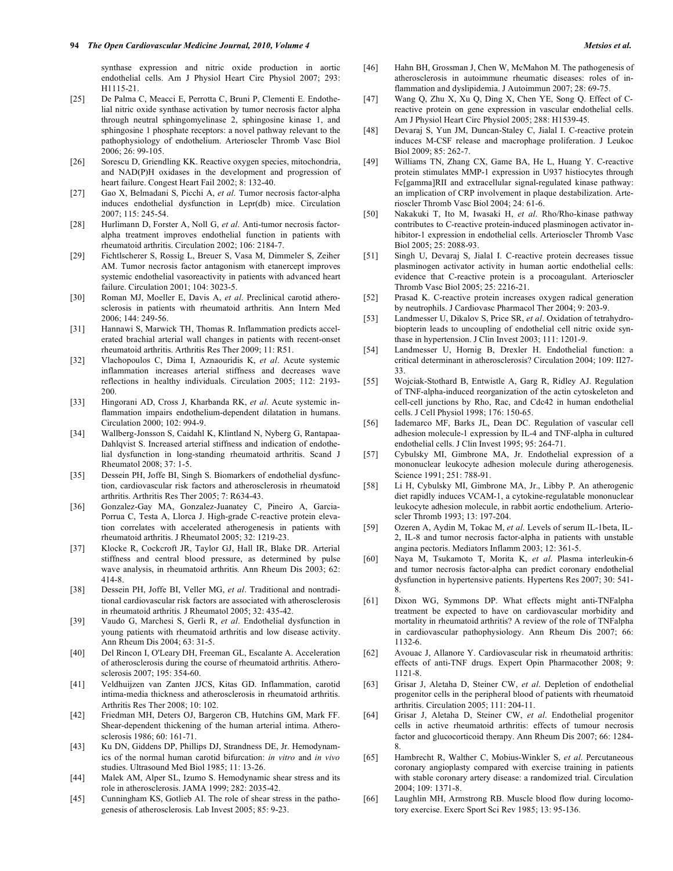synthase expression and nitric oxide production in aortic endothelial cells. Am J Physiol Heart Circ Physiol 2007; 293: H1115-21.

- [25] De Palma C, Meacci E, Perrotta C, Bruni P, Clementi E. Endothelial nitric oxide synthase activation by tumor necrosis factor alpha through neutral sphingomyelinase 2, sphingosine kinase 1, and sphingosine 1 phosphate receptors: a novel pathway relevant to the pathophysiology of endothelium. Arterioscler Thromb Vasc Biol 2006; 26: 99-105.
- [26] Sorescu D, Griendling KK. Reactive oxygen species, mitochondria, and NAD(P)H oxidases in the development and progression of heart failure. Congest Heart Fail 2002; 8: 132-40.
- [27] Gao X, Belmadani S, Picchi A, *et al*. Tumor necrosis factor-alpha induces endothelial dysfunction in Lepr(db) mice. Circulation 2007; 115: 245-54.
- [28] Hurlimann D, Forster A, Noll G, *et al*. Anti-tumor necrosis factoralpha treatment improves endothelial function in patients with rheumatoid arthritis. Circulation 2002; 106: 2184-7.
- [29] Fichtlscherer S, Rossig L, Breuer S, Vasa M, Dimmeler S, Zeiher AM. Tumor necrosis factor antagonism with etanercept improves systemic endothelial vasoreactivity in patients with advanced heart failure. Circulation 2001; 104: 3023-5.
- [30] Roman MJ, Moeller E, Davis A, *et al*. Preclinical carotid atherosclerosis in patients with rheumatoid arthritis. Ann Intern Med 2006; 144: 249-56.
- [31] Hannawi S, Marwick TH, Thomas R. Inflammation predicts accelerated brachial arterial wall changes in patients with recent-onset rheumatoid arthritis. Arthritis Res Ther 2009; 11: R51.
- [32] Vlachopoulos C, Dima I, Aznaouridis K, *et al*. Acute systemic inflammation increases arterial stiffness and decreases wave reflections in healthy individuals. Circulation 2005; 112: 2193- 200.
- [33] Hingorani AD, Cross J, Kharbanda RK, *et al*. Acute systemic inflammation impairs endothelium-dependent dilatation in humans. Circulation 2000; 102: 994-9.
- [34] Wallberg-Jonsson S, Caidahl K, Klintland N, Nyberg G, Rantapaa-Dahlqvist S. Increased arterial stiffness and indication of endothelial dysfunction in long-standing rheumatoid arthritis. Scand J Rheumatol 2008; 37: 1-5.
- [35] Dessein PH, Joffe BI, Singh S. Biomarkers of endothelial dysfunction, cardiovascular risk factors and atherosclerosis in rheumatoid arthritis. Arthritis Res Ther 2005; 7: R634-43.
- [36] Gonzalez-Gay MA, Gonzalez-Juanatey C, Pineiro A, Garcia-Porrua C, Testa A, Llorca J. High-grade C-reactive protein elevation correlates with accelerated atherogenesis in patients with rheumatoid arthritis. J Rheumatol 2005; 32: 1219-23.
- [37] Klocke R, Cockcroft JR, Taylor GJ, Hall IR, Blake DR. Arterial stiffness and central blood pressure, as determined by pulse wave analysis, in rheumatoid arthritis*.* Ann Rheum Dis 2003; 62: 414-8.
- [38] Dessein PH, Joffe BI, Veller MG, *et al*. Traditional and nontraditional cardiovascular risk factors are associated with atherosclerosis in rheumatoid arthritis*.* J Rheumatol 2005; 32: 435-42.
- [39] Vaudo G, Marchesi S, Gerli R, *et al*. Endothelial dysfunction in young patients with rheumatoid arthritis and low disease activity. Ann Rheum Dis 2004; 63: 31-5.
- [40] Del Rincon I, O'Leary DH, Freeman GL, Escalante A. Acceleration of atherosclerosis during the course of rheumatoid arthritis. Atherosclerosis 2007; 195: 354-60.
- [41] Veldhuijzen van Zanten JJCS, Kitas GD. Inflammation, carotid intima-media thickness and atherosclerosis in rheumatoid arthritis. Arthritis Res Ther 2008; 10: 102.
- [42] Friedman MH, Deters OJ, Bargeron CB, Hutchins GM, Mark FF. Shear-dependent thickening of the human arterial intima. Atherosclerosis 1986; 60: 161-71.
- [43] Ku DN, Giddens DP, Phillips DJ, Strandness DE, Jr. Hemodynamics of the normal human carotid bifurcation: *in vitro* and *in vivo* studies. Ultrasound Med Biol 1985; 11: 13-26.
- [44] Malek AM, Alper SL, Izumo S. Hemodynamic shear stress and its role in atherosclerosis. JAMA 1999; 282: 2035-42.
- [45] Cunningham KS, Gotlieb AI. The role of shear stress in the pathogenesis of atherosclerosis*.* Lab Invest 2005; 85: 9-23.
- [46] Hahn BH, Grossman J, Chen W, McMahon M. The pathogenesis of atherosclerosis in autoimmune rheumatic diseases: roles of inflammation and dyslipidemia. J Autoimmun 2007; 28: 69-75.
- [47] Wang Q, Zhu X, Xu Q, Ding X, Chen YE, Song Q. Effect of Creactive protein on gene expression in vascular endothelial cells. Am J Physiol Heart Circ Physiol 2005; 288: H1539-45.
- [48] Devaraj S, Yun JM, Duncan-Staley C, Jialal I. C-reactive protein induces M-CSF release and macrophage proliferation. J Leukoc Biol 2009; 85: 262-7.
- [49] Williams TN, Zhang CX, Game BA, He L, Huang Y. C-reactive protein stimulates MMP-1 expression in U937 histiocytes through Fc[gamma]RII and extracellular signal-regulated kinase pathway: an implication of CRP involvement in plaque destabilization. Arterioscler Thromb Vasc Biol 2004; 24: 61-6.
- [50] Nakakuki T, Ito M, Iwasaki H, *et al*. Rho/Rho-kinase pathway contributes to C-reactive protein-induced plasminogen activator inhibitor-1 expression in endothelial cells. Arterioscler Thromb Vasc Biol 2005; 25: 2088-93.
- [51] Singh U, Devaraj S, Jialal I. C-reactive protein decreases tissue plasminogen activator activity in human aortic endothelial cells: evidence that C-reactive protein is a procoagulant. Arterioscler Thromb Vasc Biol 2005; 25: 2216-21.
- [52] Prasad K. C-reactive protein increases oxygen radical generation by neutrophils. J Cardiovasc Pharmacol Ther 2004; 9: 203-9.
- [53] Landmesser U, Dikalov S, Price SR, *et al*. Oxidation of tetrahydrobiopterin leads to uncoupling of endothelial cell nitric oxide synthase in hypertension. J Clin Invest 2003; 111: 1201-9.
- [54] Landmesser U, Hornig B, Drexler H. Endothelial function: a critical determinant in atherosclerosis? Circulation 2004; 109: II27- 33.
- [55] Wojciak-Stothard B, Entwistle A, Garg R, Ridley AJ. Regulation of TNF-alpha-induced reorganization of the actin cytoskeleton and cell-cell junctions by Rho, Rac, and Cdc42 in human endothelial cells. J Cell Physiol 1998; 176: 150-65.
- [56] Iademarco MF, Barks JL, Dean DC. Regulation of vascular cell adhesion molecule-1 expression by IL-4 and TNF-alpha in cultured endothelial cells. J Clin Invest 1995; 95: 264-71.
- [57] Cybulsky MI, Gimbrone MA, Jr. Endothelial expression of a mononuclear leukocyte adhesion molecule during atherogenesis. Science 1991; 251: 788-91.
- [58] Li H, Cybulsky MI, Gimbrone MA, Jr., Libby P. An atherogenic diet rapidly induces VCAM-1, a cytokine-regulatable mononuclear leukocyte adhesion molecule, in rabbit aortic endothelium. Arterioscler Thromb 1993; 13: 197-204.
- [59] Ozeren A, Aydin M, Tokac M, *et al*. Levels of serum IL-1beta, IL-2, IL-8 and tumor necrosis factor-alpha in patients with unstable angina pectoris. Mediators Inflamm 2003; 12: 361-5.
- [60] Naya M, Tsukamoto T, Morita K, *et al*. Plasma interleukin-6 and tumor necrosis factor-alpha can predict coronary endothelial dysfunction in hypertensive patients. Hypertens Res 2007; 30: 541- 8.
- [61] Dixon WG, Symmons DP. What effects might anti-TNFalpha treatment be expected to have on cardiovascular morbidity and mortality in rheumatoid arthritis? A review of the role of TNFalpha in cardiovascular pathophysiology. Ann Rheum Dis 2007; 66: 1132-6.
- [62] Avouac J, Allanore Y. Cardiovascular risk in rheumatoid arthritis: effects of anti-TNF drugs*.* Expert Opin Pharmacother 2008; 9: 1121-8.
- [63] Grisar J, Aletaha D, Steiner CW, *et al*. Depletion of endothelial progenitor cells in the peripheral blood of patients with rheumatoid arthritis. Circulation 2005; 111: 204-11.
- [64] Grisar J, Aletaha D, Steiner CW, *et al*. Endothelial progenitor cells in active rheumatoid arthritis: effects of tumour necrosis factor and glucocorticoid therapy. Ann Rheum Dis 2007; 66: 1284- 8.
- [65] Hambrecht R, Walther C, Mobius-Winkler S, *et al*. Percutaneous coronary angioplasty compared with exercise training in patients with stable coronary artery disease: a randomized trial. Circulation 2004; 109: 1371-8.
- [66] Laughlin MH, Armstrong RB. Muscle blood flow during locomotory exercise. Exerc Sport Sci Rev 1985; 13: 95-136.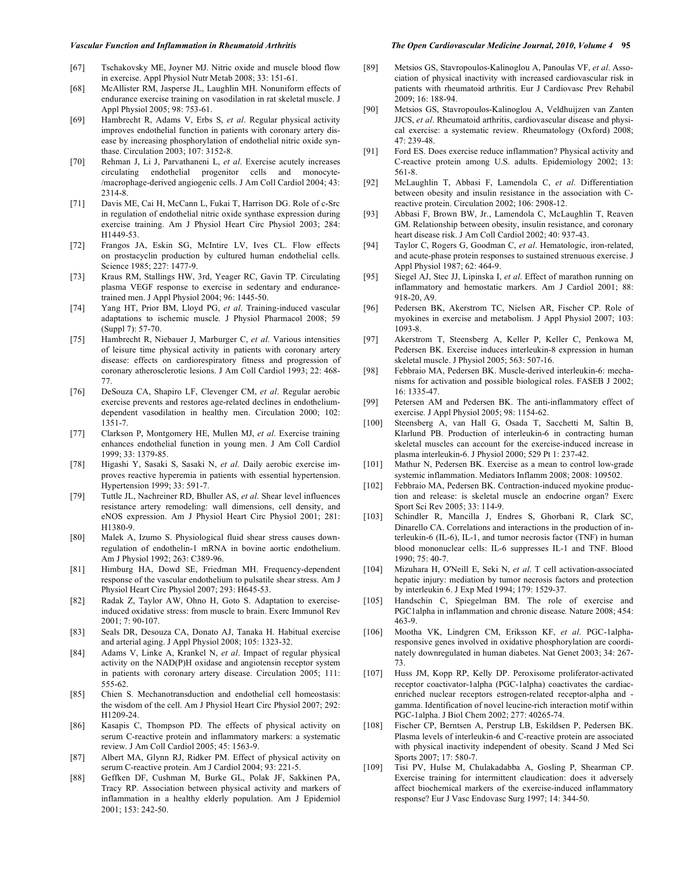#### *Vascular Function and Inflammation in Rheumatoid Arthritis The Open Cardiovascular Medicine Journal, 2010, Volume 4* **95**

- [67] Tschakovsky ME, Joyner MJ. Nitric oxide and muscle blood flow in exercise. Appl Physiol Nutr Metab 2008; 33: 151-61.
- [68] McAllister RM, Jasperse JL, Laughlin MH. Nonuniform effects of endurance exercise training on vasodilation in rat skeletal muscle. J Appl Physiol 2005; 98: 753-61.
- [69] Hambrecht R, Adams V, Erbs S, *et al*. Regular physical activity improves endothelial function in patients with coronary artery disease by increasing phosphorylation of endothelial nitric oxide synthase. Circulation 2003; 107: 3152-8.
- [70] Rehman J, Li J, Parvathaneni L, *et al*. Exercise acutely increases circulating endothelial progenitor cells and monocyte- /macrophage-derived angiogenic cells. J Am Coll Cardiol 2004; 43: 2314-8.
- [71] Davis ME, Cai H, McCann L, Fukai T, Harrison DG. Role of c-Src in regulation of endothelial nitric oxide synthase expression during exercise training. Am J Physiol Heart Circ Physiol 2003; 284: H1449-53.
- [72] Frangos JA, Eskin SG, McIntire LV, Ives CL. Flow effects on prostacyclin production by cultured human endothelial cells. Science 1985; 227: 1477-9.
- [73] Kraus RM, Stallings HW, 3rd, Yeager RC, Gavin TP. Circulating plasma VEGF response to exercise in sedentary and endurancetrained men. J Appl Physiol 2004; 96: 1445-50.
- [74] Yang HT, Prior BM, Lloyd PG, *et al*. Training-induced vascular adaptations to ischemic muscle*.* J Physiol Pharmacol 2008; 59 (Suppl 7): 57-70.
- [75] Hambrecht R, Niebauer J, Marburger C, *et al*. Various intensities of leisure time physical activity in patients with coronary artery disease: effects on cardiorespiratory fitness and progression of coronary atherosclerotic lesions. J Am Coll Cardiol 1993; 22: 468- 77.
- [76] DeSouza CA, Shapiro LF, Clevenger CM, *et al*. Regular aerobic exercise prevents and restores age-related declines in endotheliumdependent vasodilation in healthy men. Circulation 2000; 102: 1351-7.
- [77] Clarkson P, Montgomery HE, Mullen MJ, *et al*. Exercise training enhances endothelial function in young men. J Am Coll Cardiol 1999; 33: 1379-85.
- [78] Higashi Y, Sasaki S, Sasaki N, *et al*. Daily aerobic exercise improves reactive hyperemia in patients with essential hypertension. Hypertension 1999; 33: 591-7.
- [79] Tuttle JL, Nachreiner RD, Bhuller AS, *et al*. Shear level influences resistance artery remodeling: wall dimensions, cell density, and eNOS expression. Am J Physiol Heart Circ Physiol 2001; 281: H1380-9.
- [80] Malek A, Izumo S. Physiological fluid shear stress causes downregulation of endothelin-1 mRNA in bovine aortic endothelium. Am J Physiol 1992; 263: C389-96.
- [81] Himburg HA, Dowd SE, Friedman MH. Frequency-dependent response of the vascular endothelium to pulsatile shear stress. Am J Physiol Heart Circ Physiol 2007; 293: H645-53.
- [82] Radak Z, Taylor AW, Ohno H, Goto S. Adaptation to exerciseinduced oxidative stress: from muscle to brain. Exerc Immunol Rev 2001; 7: 90-107.
- [83] Seals DR, Desouza CA, Donato AJ, Tanaka H. Habitual exercise and arterial aging. J Appl Physiol 2008; 105: 1323-32.
- [84] Adams V, Linke A, Krankel N, *et al*. Impact of regular physical activity on the NAD(P)H oxidase and angiotensin receptor system in patients with coronary artery disease. Circulation 2005; 111: 555-62.
- [85] Chien S. Mechanotransduction and endothelial cell homeostasis: the wisdom of the cell. Am J Physiol Heart Circ Physiol 2007; 292: H1209-24.
- [86] Kasapis C, Thompson PD. The effects of physical activity on serum C-reactive protein and inflammatory markers: a systematic review. J Am Coll Cardiol 2005; 45: 1563-9.
- [87] Albert MA, Glynn RJ, Ridker PM. Effect of physical activity on serum C-reactive protein. Am J Cardiol 2004; 93: 221-5.
- [88] Geffken DF, Cushman M, Burke GL, Polak JF, Sakkinen PA, Tracy RP. Association between physical activity and markers of inflammation in a healthy elderly population. Am J Epidemiol 2001; 153: 242-50.
- [89] Metsios GS, Stavropoulos-Kalinoglou A, Panoulas VF, *et al*. Association of physical inactivity with increased cardiovascular risk in patients with rheumatoid arthritis. Eur J Cardiovasc Prev Rehabil 2009; 16: 188-94.
- [90] Metsios GS, Stavropoulos-Kalinoglou A, Veldhuijzen van Zanten JJCS, *et al*. Rheumatoid arthritis, cardiovascular disease and physical exercise: a systematic review. Rheumatology (Oxford) 2008; 47: 239-48.
- [91] Ford ES. Does exercise reduce inflammation? Physical activity and C-reactive protein among U.S. adults. Epidemiology 2002; 13: 561-8.
- [92] McLaughlin T, Abbasi F, Lamendola C, *et al*. Differentiation between obesity and insulin resistance in the association with Creactive protein. Circulation 2002; 106: 2908-12.
- [93] Abbasi F, Brown BW, Jr., Lamendola C, McLaughlin T, Reaven GM. Relationship between obesity, insulin resistance, and coronary heart disease risk. J Am Coll Cardiol 2002; 40: 937-43.
- [94] Taylor C, Rogers G, Goodman C, *et al*. Hematologic, iron-related, and acute-phase protein responses to sustained strenuous exercise. J Appl Physiol 1987; 62: 464-9.
- [95] Siegel AJ, Stec JJ, Lipinska I, *et al*. Effect of marathon running on inflammatory and hemostatic markers. Am J Cardiol 2001; 88: 918-20, A9.
- [96] Pedersen BK, Akerstrom TC, Nielsen AR, Fischer CP. Role of myokines in exercise and metabolism. J Appl Physiol 2007; 103: 1093-8.
- [97] Akerstrom T, Steensberg A, Keller P, Keller C, Penkowa M, Pedersen BK. Exercise induces interleukin-8 expression in human skeletal muscle. J Physiol 2005; 563: 507-16.
- [98] Febbraio MA, Pedersen BK. Muscle-derived interleukin-6: mechanisms for activation and possible biological roles. FASEB J 2002; 16: 1335-47.
- [99] Petersen AM and Pedersen BK. The anti-inflammatory effect of exercise*.* J Appl Physiol 2005; 98: 1154-62.
- [100] Steensberg A, van Hall G, Osada T, Sacchetti M, Saltin B, Klarlund PB. Production of interleukin-6 in contracting human skeletal muscles can account for the exercise-induced increase in plasma interleukin-6. J Physiol 2000; 529 Pt 1: 237-42.
- [101] Mathur N, Pedersen BK. Exercise as a mean to control low-grade systemic inflammation. Mediators Inflamm 2008; 2008: 109502.
- [102] Febbraio MA, Pedersen BK. Contraction-induced myokine production and release: is skeletal muscle an endocrine organ? Exerc Sport Sci Rev 2005; 33: 114-9.
- [103] Schindler R, Mancilla J, Endres S, Ghorbani R, Clark SC, Dinarello CA. Correlations and interactions in the production of interleukin-6 (IL-6), IL-1, and tumor necrosis factor (TNF) in human blood mononuclear cells: IL-6 suppresses IL-1 and TNF. Blood 1990; 75: 40-7.
- [104] Mizuhara H, O'Neill E, Seki N, *et al*. T cell activation-associated hepatic injury: mediation by tumor necrosis factors and protection by interleukin 6. J Exp Med 1994; 179: 1529-37.
- [105] Handschin C, Spiegelman BM. The role of exercise and PGC1alpha in inflammation and chronic disease*.* Nature 2008; 454: 463-9.
- [106] Mootha VK, Lindgren CM, Eriksson KF, *et al*. PGC-1alpharesponsive genes involved in oxidative phosphorylation are coordinately downregulated in human diabetes. Nat Genet 2003; 34: 267- 73.
- [107] Huss JM, Kopp RP, Kelly DP. Peroxisome proliferator-activated receptor coactivator-1alpha (PGC-1alpha) coactivates the cardiacenriched nuclear receptors estrogen-related receptor-alpha and gamma. Identification of novel leucine-rich interaction motif within PGC-1alpha. J Biol Chem 2002; 277: 40265-74.
- [108] Fischer CP, Berntsen A, Perstrup LB, Eskildsen P, Pedersen BK. Plasma levels of interleukin-6 and C-reactive protein are associated with physical inactivity independent of obesity. Scand J Med Sci Sports 2007; 17: 580-7.
- [109] Tisi PV, Hulse M, Chulakadabba A, Gosling P, Shearman CP. Exercise training for intermittent claudication: does it adversely affect biochemical markers of the exercise-induced inflammatory response? Eur J Vasc Endovasc Surg 1997; 14: 344-50.